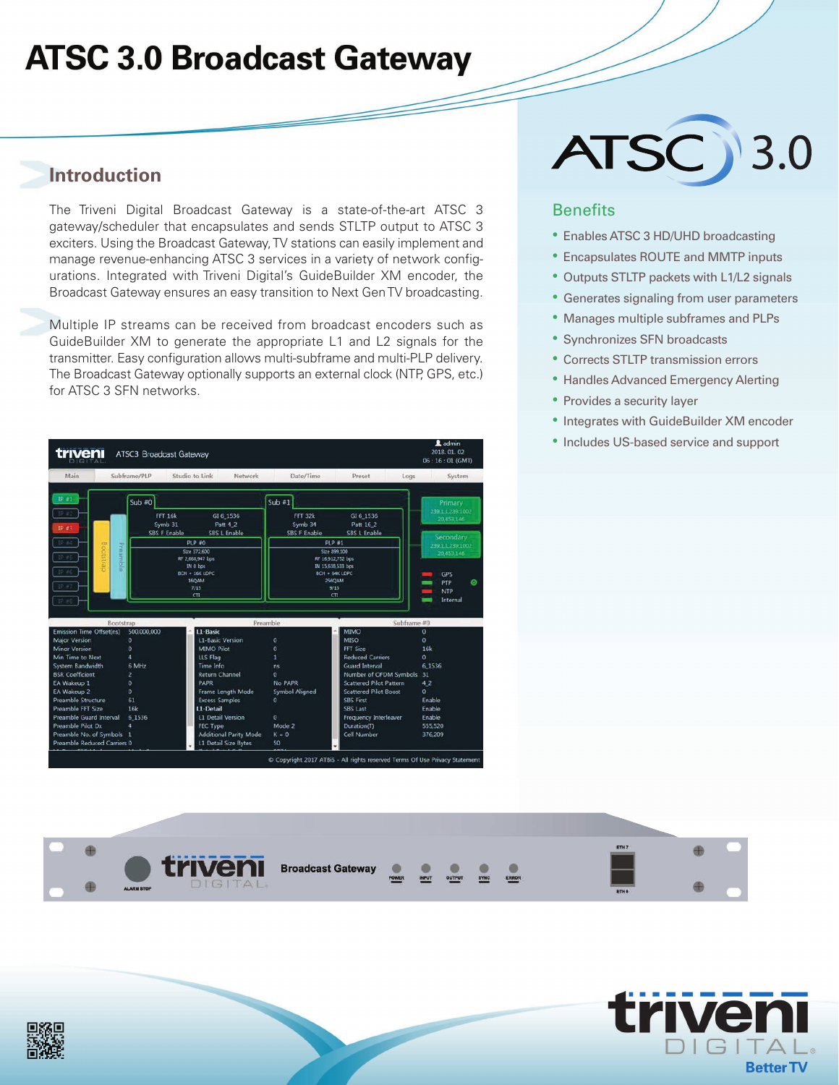## **ATSC 3.0 Broadcast Gateway**

### **Introduction**

The Triveni Digital Broadcast Gateway is a state-of-the-art ATSC 3 gateway/scheduler that encapsulates and sends STLTP output to ATSC 3 exciters. Using the Broadcast Gateway, TV stations can easily implement and manage revenue-enhancing ATSC 3 services in a variety of network configurations. Integrated with Triveni Digital's GuideBuilder XM encoder, the Broadcast Gateway ensures an easy transition to Next Gen TV broadcasting.

Multiple IP streams can be received from broadcast encoders such as GuideBuilder XM to generate the appropriate L1 and L2 signals for the transmitter. Easy configuration allows multi-subframe and multi-PLP delivery. The Broadcast Gateway optionally supports an external clock (NTP, GPS, etc.) for ATSC 3 SFN networks.



# ATSC 3.0

#### **Benefits**

- Enables ATSC 3 HD/UHD broadcasting
- Encapsulates ROUTE and MMTP inputs
- Outputs STLTP packets with L1/L2 signals
- Generates signaling from user parameters
- Manages multiple subframes and PLPs
- Synchronizes SFN broadcasts
- Corrects STLTP transmission errors
- Handles Advanced Emergency Alerting
- Provides a security layer
- Integrates with GuideBuilder XM encoder
- Includes US-based service and support